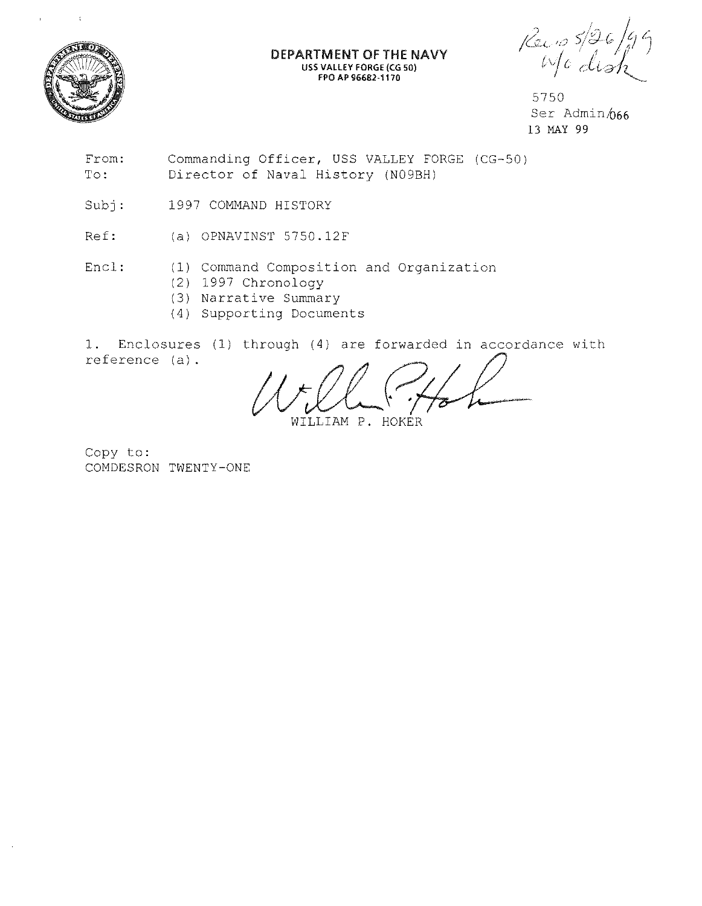

#### DEPARTMENT OF THE NAVY USS VALLEY FORGE (CG 50) FPO AP 96682-1170

/ ('~ '. , *");/:'!)\_ (-.* /, *t/ t.;* 1~ V.-< •. •·' *!* ;,; <sup>J</sup>*t"/ c* ~liaf~\_

5750 Ser Admin/066 13 MAY 99

From: To: Commanding Officer, USS VALLEY FORGE (CG-50) Director of Naval History (N09BH)

Subj: 1997 COMMAND HISTORY

Ref: (a) OPNAVINST 5750.12F

Encl: (1) Command Composition and Organization

- (2) 1997 Chronology
- (3) Narrative Summary
- (4) Supporting Documents

1. Enclosures (1) through (4) are forwarded in accordance with reference (a).

WILLIAM P. HOKER

Copy to: COMDESRON TWENTY-ONE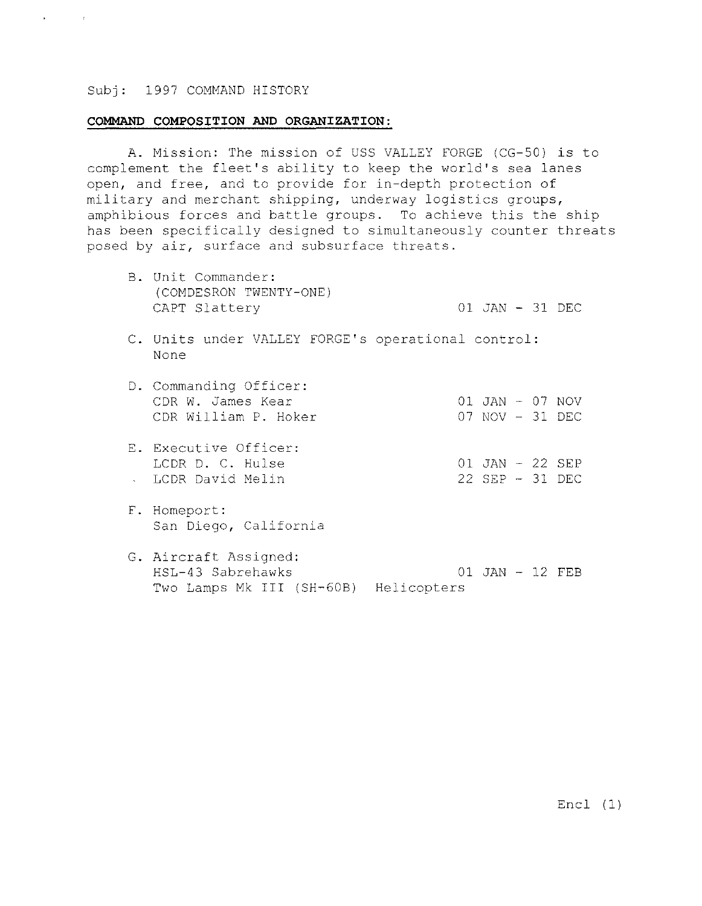$\mathbf{r}^{(1)}$  and  $\mathbf{r}^{(2)}$  and  $\mathbf{r}^{(3)}$ 

## **COMMAND COMPOSITION AND ORGANIZATION:**

A. Mission: The mission of USS VALLEY FORGE (CG-50) is to complement the fleet's ability to keep the world's sea lanes open, and free, and to provide for in-depth protection of military and merchant shipping, underway logistics groups, amphibious forces and battle groups. To achieve this the ship has been specifically designed to simultaneously counter threats posed by air, surface and subsurface threats.

- 8. Unit Commander: (COMDESRON TWENTY-ONE) CAPT Slattery 01 JAN - 31 DEC
- C. Units under VALLEY FORGE's operational control: None
- D. Commanding Officer: E. Executive Officer: CDR W. James Kear CDR William P. Hoker LCDR D. c. Hulse 01 JAN - 07 NOV 07 NOV - 31 DEC 01 JAN - 22 SEP
- LCDR David Melin 22 SEP - 31 DEC
- F. Homeport: San Diego, California

 $Enc1 (1)$ 

G. Aircraft Assigned: HSL-43 Sabrehawks Two Lamps Mk III (SH-608) Helicopters 01 JAN - 12 FEB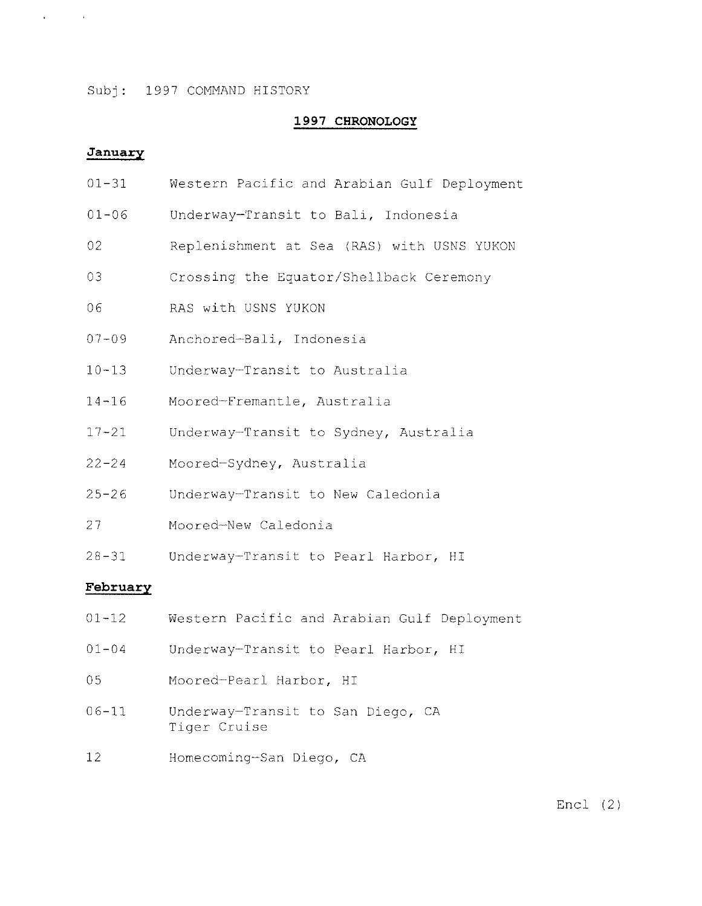## 1997 CHRONOLOGY

## January

 $\mathbf{r} = \left\{ \begin{array}{ll} 0 & \text{if} \ \mathbf{r} = \mathbf{r} \end{array} \right.$ 

- 01-31 Western Pacific and Arabian Gulf Deployment
- $01 06$ Underway-Transit to Bali, Indonesia
- 02 Replenishment at Sea (RAS) with USNS YUKON
- 03 Crossing the Equator/Shellback Ceremony
- 06 RAS with USNS YUKON
- $07 09$ Anchored-Bali, Indonesia
- $10 13$ Underway-Transit to Australia
- $14 16$ Moored-Fremantle, Australia
- $17 21$ Underway-Transit to Sydney, Australia
- $22 24$ Moored-Sydney, Australia
- $25 26$ Underway-Transit to New Caledonia
- 27 Moored-New Caledonia
- 28-31 Underway-Transit to Pearl Harbor, HI

## February

- $01 12$ Western Pacific and Arabian Gulf Deployment
- $01 04$ Underway-Transit to Pearl Harbor, HI
- 05 Moored-Pearl Harbor, HI
- 06-11 Underway-Transit to San Diego, CA Tiger Cruise
- 12 Homecoming-San Diego, CA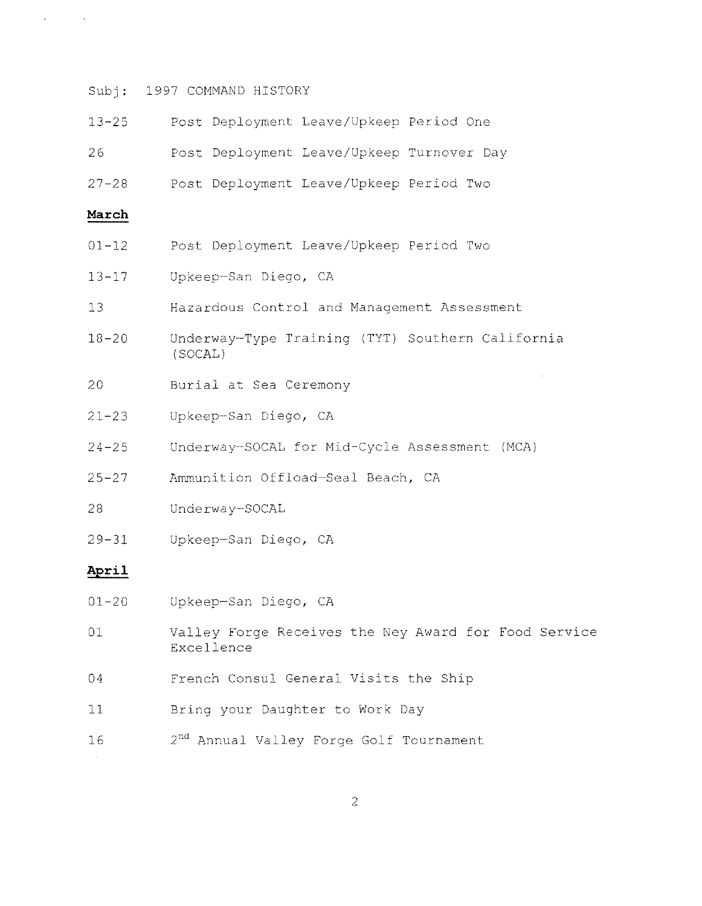- $13 25$ 26 Post Deployment Leave/Upkeep Period One Post Deployment Leave/Upkeep Turnover Day
- 27-28 Post Deployment Leave/Upkeep Period Two

## March

**Contract Contract** 

- $01 12$ Post Deployment Leave/Upkeep Period Two
- 13-17 Upkeep-San Diego, CA
- 13 Hazardous Control and Management Assessment
- $18 20$ Underway-Type Training (TYT) Southern California (SOCAL)
- 20 Burial at Sea Ceremony
- 21-23 Upkeep-San Diego, CA
- $24 25$ Underway-SOCAL for Mid-Cycle Assessment (MCA)
- $25 27$ Ammunition Offload-Seal Beach, CA
- 28 Underway-SOCAL
- 29-31 Upkeep-San Diego, CA

#### April

- 01-20 Upkeep-San Diego, CA
- 01 Valley Forge Receives the Ney Award for Food Service Excellence
- 04 French Consul General Visits the Ship
- 11 Bring your Daughter to Work Day
- 16 2<sup>nd</sup> Annual Valley Forge Golf Tournament

2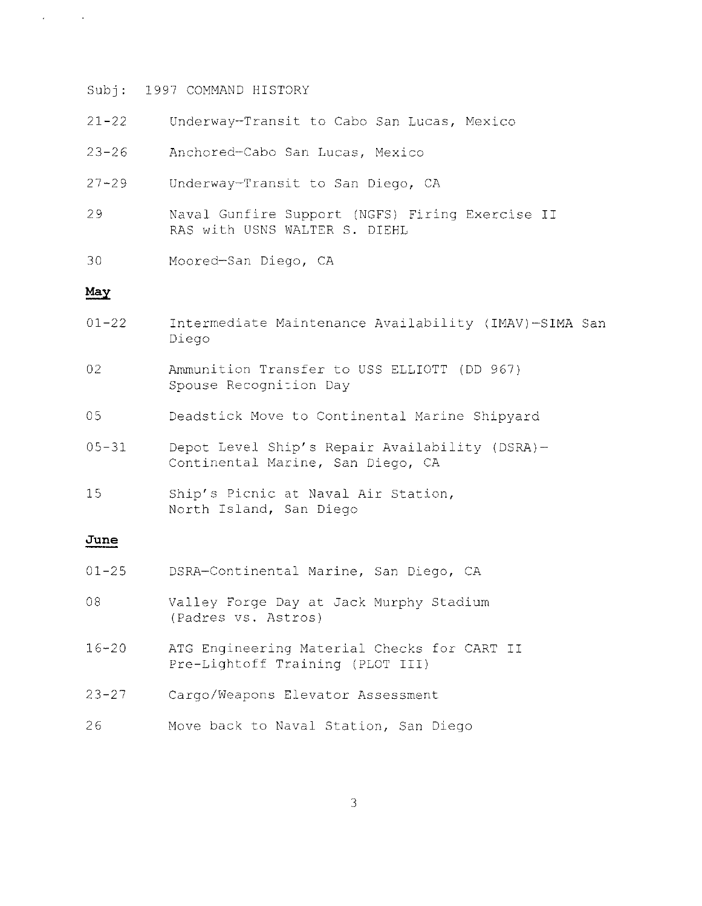- 21-22 Underway-Transit to Cabo San Lucas, Mexico
- 23-26 Anchored-Cabo San Lucas, Mexico
- 27-29 Underway-Transit to San Diego, CA
- 29 Naval Gunfire Support (NGFS) Firing Exercise II RAS with USNS WALTER S. DIEHL
- 30 Moored-San Diego, CA

## May

 $\mathcal{L}^{\text{max}}(\mathcal{L}^{\text{max}})$ 

- $01 22$ Intermediate Maintenance Availability (IMAV)-SIMA San Diego
- 02 Ammunition Transfer to USS ELLIOTT (DD 967) Spouse Recognition Day
- 05 Deadstick Move to Continental Marine Shipyard
- 05-31 Depot Level Ship's Repair Availability (DSRA)- Continental Marine, San Diego, CA
- 15 Ship's Picnic at Naval Air Station, North Island, San Diego

#### June

- $01 25$ DSRA-Continental Marine, San Diego, CA
- 08 Valley Forge Day at Jack Murphy Stadium (Padres vs. Astros)
- 16-20 ATG Engineering Material Checks for CART II Pre-Lightoff Training (PLOT III)
- $23 27$ Cargo/Weapons Elevator Assessment
- 26 Move back to Naval Station, San Diego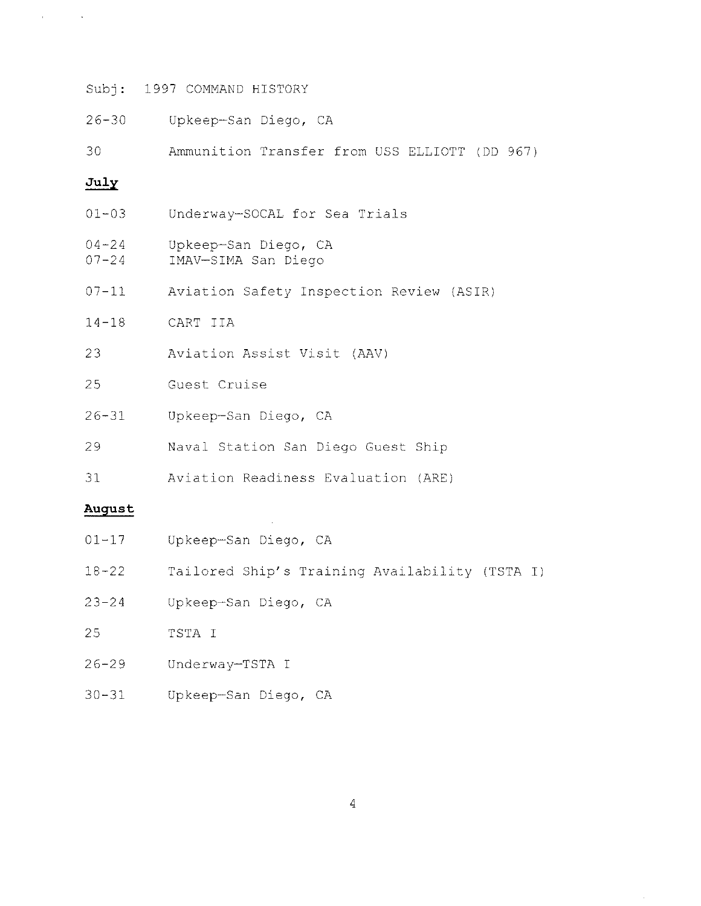26-30 Upkeep-San Diego, CA

30 Ammunition Transfer from USS ELLIOTT (DD 967)

## July

 $\mathbf{z} = \mathbf{z}$ 

 $\sim 10$ 

- 01-03 Underway-SOCAL for Sea Trials
- $04 24$ 07-24 Upkeep-San Diego, CA IMAV-SIMA San Diego
- 07-11 Aviation Safety Inspection Review (ASIR)
- 14-18 CART IIA
- 23 Aviation Assist Visit (AAV)
- 25 Guest Cruise
- 26-31 Upkeep-San Diego, CA
- 29 Naval Station San Diego Guest Ship
- 31 Aviation Readiness Evaluation (ARE)

## August

- 01-17 Upkeep-San Diego, CA
- 18-22 Tailored Ship's Training Availability (TSTA I)
- $23 24$ Upkeep-San Diego, CA
- 25 TSTA I
- 26-29 Underway-TSTA I
- 30-31 Upkeep-San Diego, CA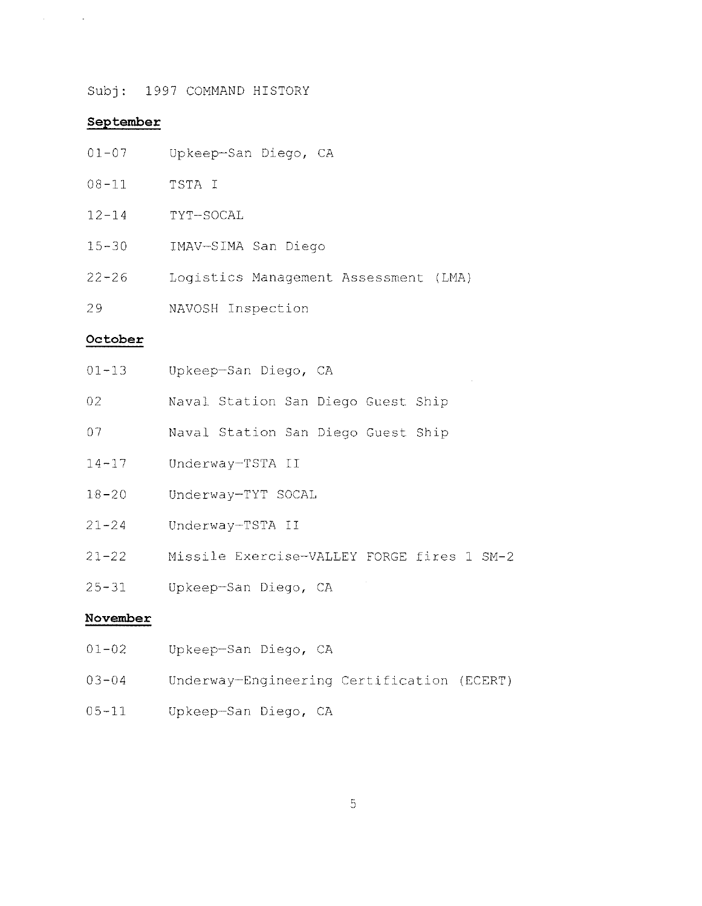## September

 $\mathcal{L}^{\text{max}}_{\text{max}}$  and  $\mathcal{L}^{\text{max}}_{\text{max}}$ 

- $01 07$ Upkeep-San Diego, CA
- 08-11 TSTA I
- 12-14 TYT-SOCAL
- 15-30 IMAV-SIMA San Diego
- $22 26$ Logistics Management Assessment (LMA)
- 29 NAVOSH Inspection

## October

- 01-13 Upkeep-San Diego, CA
- 02 Naval Station San Diego Guest Ship
- 07 Naval Station San Diego Guest Ship
- $14 17$ Underway-TSTA II
- 18-20 Underway-TYT SOCAL
- $21 24$ Underway-TSTA II
- 21-22 Missile Exercise-VALLEY FORGE fires 1 SM-2
- 25-31 Upkeep-San Diego, CA

## November

- 01-02 Upkeep-San Diego, CA
- 03-04 Underway-Engineering Certification (ECERT)
- 05-11 Upkeep-San Diego, CA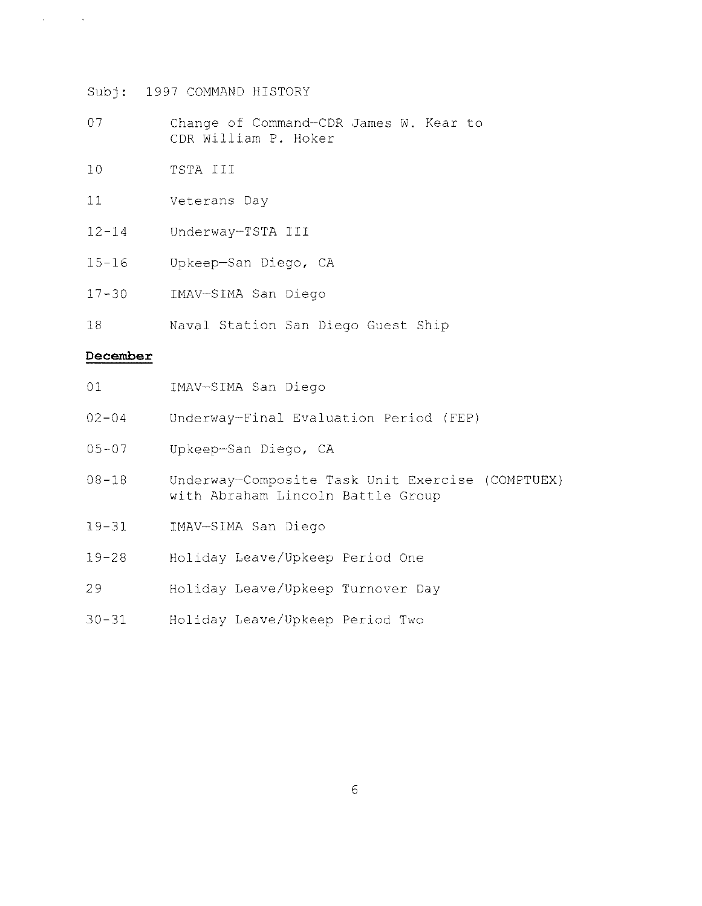- 07 Change of Command-CDR James W. Kear to CDR William P. Hoker
- 10 TSTA III
- 11 Veterans Day
- 12-14 Underway-TSTA III
- 15-16 Upkeep-San Diego, CA
- 17-30 IMAV-SIMA San Diego
- 18 Naval Station San Diego Guest Ship

## December

 $\Delta \phi = 0.000$  km s  $^{-1}$ 

| 01        | IMAV-SIMA San Diego                                                                   |
|-----------|---------------------------------------------------------------------------------------|
| $02 - 04$ | Underway-Final Evaluation Period (FEP)                                                |
| $05 - 07$ | Upkeep-San Diego, CA                                                                  |
| $08 - 18$ | Underway-Composite Task Unit Exercise (COMPTUEX)<br>with Abraham Lincoln Battle Group |
| $19 - 31$ | IMAV-SIMA San Diego                                                                   |
| $19 - 28$ | Holiday Leave/Upkeep Period One                                                       |
| 29        | Holiday Leave/Upkeep Turnover Day                                                     |
| $30 - 31$ | Holiday Leave/Upkeep Period Two                                                       |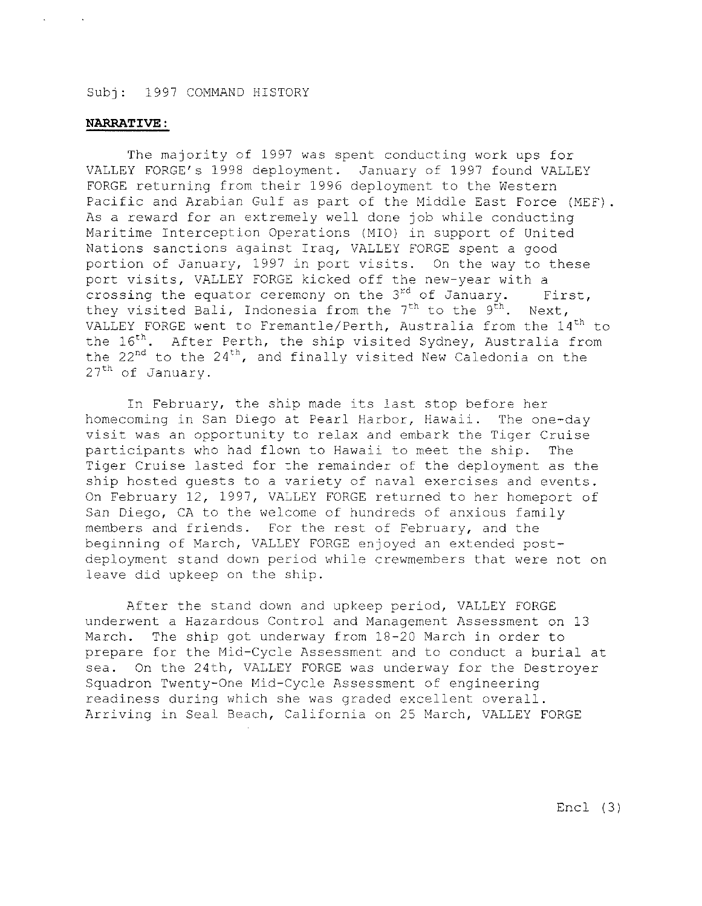### **NARRATIVE:**

The majority of 1997 was spent conducting work ups for VALLEY FORGE's 1998 deployment. January of 1997 found VALLEY FORGE returning from their 1996 deployment to the Western Pacific and Arabian Gulf as part of the Middle East Force (MEF). As a reward for an extremely well done job while conducting Maritime Interception Operations (MIO) in support of United Nations sanctions against Iraq, VALLEY FORGE spent a good portion of January, 1997 in port visits. On the way to these port visits, VALLEY FORGE kicked off the new-year with a crossing the equator ceremony on the  $3^{rd}$  of January. First, they visited Bali, Indonesia from the  $7<sup>th</sup>$  to the  $9<sup>th</sup>$ . Next, VALLEY FORGE went to Fremantle/Perth, Australia from the 14<sup>th</sup> to the 16<sup>th</sup>. After Perth, the ship visited Sydney, Australia from the 22<sup>nd</sup> to the 24<sup>th</sup>, and finally visited New Caledonia on the 27th of January.

In February, the ship made its last stop before her homecoming in San Diego at Pearl Harbor, Hawaii. The one-day visit was an opportunity to relax and embark the Tiger Cruise participants who had flown to Hawaii to meet the ship. The Tiger Cruise lasted for the remainder of the deployment as the ship hosted guests to a variety of naval exercises and events. On February 12, 1997, VALLEY FORGE returned to her homeport of San Diego, CA to the welcome of hundreds of anxious family members and friends. For the rest of February, and the beginning of March, VALLEY FORGE enjoyed an extended postdeployment stand down period while crewmembers that were not on leave did upkeep on the ship.

After the stand down and upkeep period, VALLEY FORGE underwent a Hazardous Control and Management Assessment on 13 March. The ship got underway from 18-20 March in order to prepare for the Mid-Cycle Assessment and to conduct a burial at sea. On the 24th, VALLEY FORGE was underway for the Destroyer Squadron Twenty-One Mid-Cycle Assessment of engineering readiness during which she was graded excellent overall. Arriving in Seal Beach, California on 25 March, VALLEY FORGE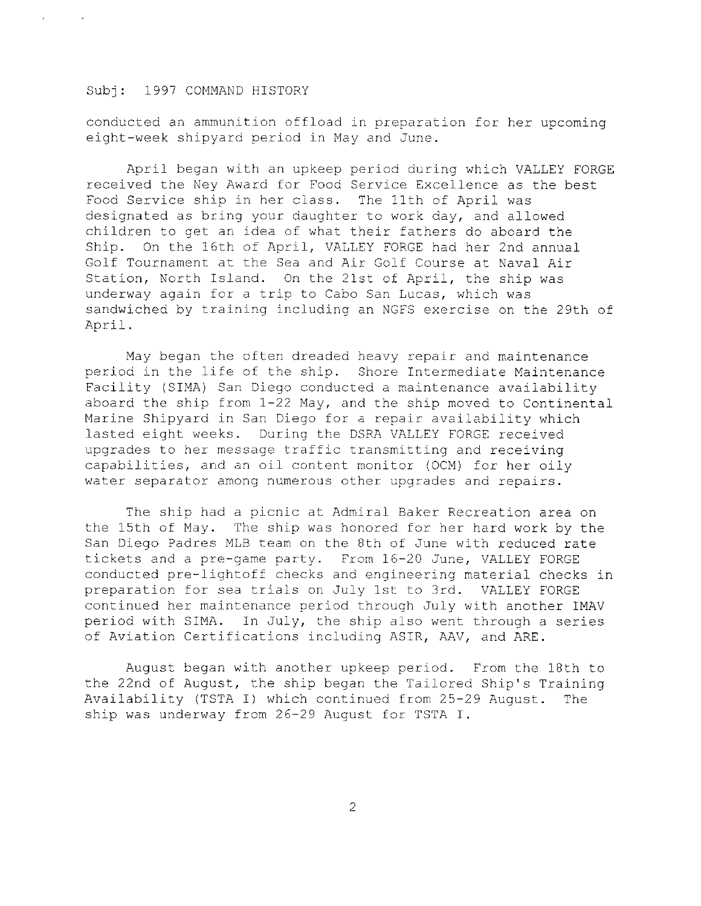conducted an ammunition offload in preparation for her upcoming eight-week shipyard period in May and June.

April began with an upkeep period during which VALLEY FORGE received the Ney Award for Food Service Excellence as the best Food Service ship in her class. The 11th of April was designated as bring your daughter to work day, and allowed children to get an idea of what their fathers do aboard the Ship. On the 16th of April, VALLEY FORGE had her 2nd annual Golf Tournament at the Sea and Air Golf Course at Naval Air Station, North Island. On the 21st of April, the ship was underway again for a trip to Cabo San Lucas, which was sandwiched by training including an NGFS exercise on the 29th of April.

May began the often dreaded heavy repair and maintenance period in the life of the ship. Shore Intermediate Maintenance Facility (SIMA) San Diego conducted a maintenance availability aboard the ship from 1-22 May, and the ship moved to Continental Marine Shipyard in San Diego for a repair availability which lasted eight weeks. During the DSRA VALLEY FORGE received upgrades to her message traffic transmitting and receiving capabilities, and an oil content monitor (OCM) for her oily water separator among numerous other upgrades and repairs.

The ship had a picnic at Admiral Baker Recreation area on the 15th of May. The ship was honored for her hard work by the San Diego Padres MLB team on the 8th of June with reduced rate tickets and a pre-game party. From 16-20 June, VALLEY FORGE conducted pre-lightoff checks and engineering material checks in preparation for sea trials on July 1st to 3rd. VALLEY FORGE continued her maintenance period through July with another IMAV period with SIMA. In July, the ship also went through a series of Aviation Certifications including ASIR, AAV, and ARE.

August began with another upkeep period. From the 18th to the 22nd of August, the ship began the Tailored Ship's Training Availability (TSTA I) which continued from 25-29 August. The ship was underway from 26-29 August for TSTA I.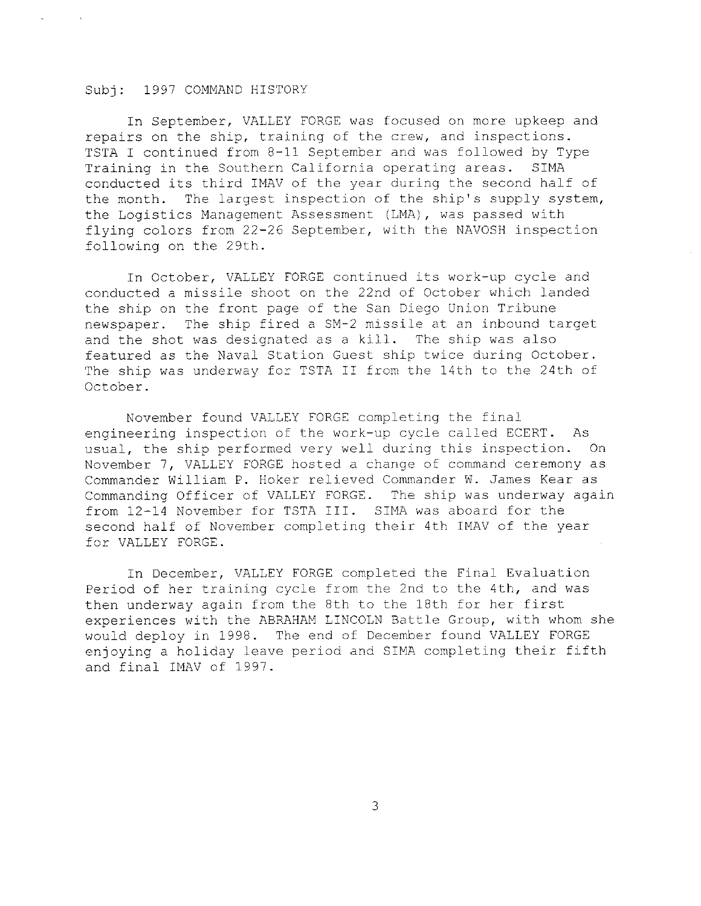In September, VALLEY FORGE was focused on more upkeep and repairs on the ship, training of the crew, and inspections. TSTA I continued from 8-11 September and was followed by Type Training in the Southern California operating areas. SIMA conducted its third IMAV of the year during the second half of the month. The largest inspection of the ship's supply system, the Logistics Management Assessment (LMA), was passed with flying colors from 22-26 September, with the NAVOSH inspection following on the 29th.

In October, VALLEY FORGE continued its work-up cycle and conducted a missile shoot on the 22nd of October which landed the ship on the front page of the San Diego Onion Tribune newspaper. The ship fired a SM-2 missile at an inbound target and the shot was designated as a kill. The ship was also featured as the Naval Station Guest ship twice during October. The ship was underway for TSTA II from the 14th to the 24th of October.

November found VALLEY FORGE completing the final engineering inspection of the work-up cycle called ECERT. As usual, the ship performed very well during this inspection. On November 7, VALLEY FORGE hosted a change of command ceremony as Commander William P. Hoker relieved Commander W. James Kear as Commanding Officer of VALLEY FORGE. The ship was underway again from 12-14 November for TSTA III. SIMA was aboard for the second half of November completing their 4th IMAV of the year for VALLEY FORGE.

In December, VALLEY FORGE completed the Final Evaluation Period of her training cycle from the 2nd to the 4th, and was then underway again from the 8th to the 18th for her first experiences with the ABRAHAM LINCOLN Battle Group, with whom she would deploy in 1998. The end of December found VALLEY FORGE enjoying a holiday leave period and SIMA completing their fifth and final IMAV of 1997.

3